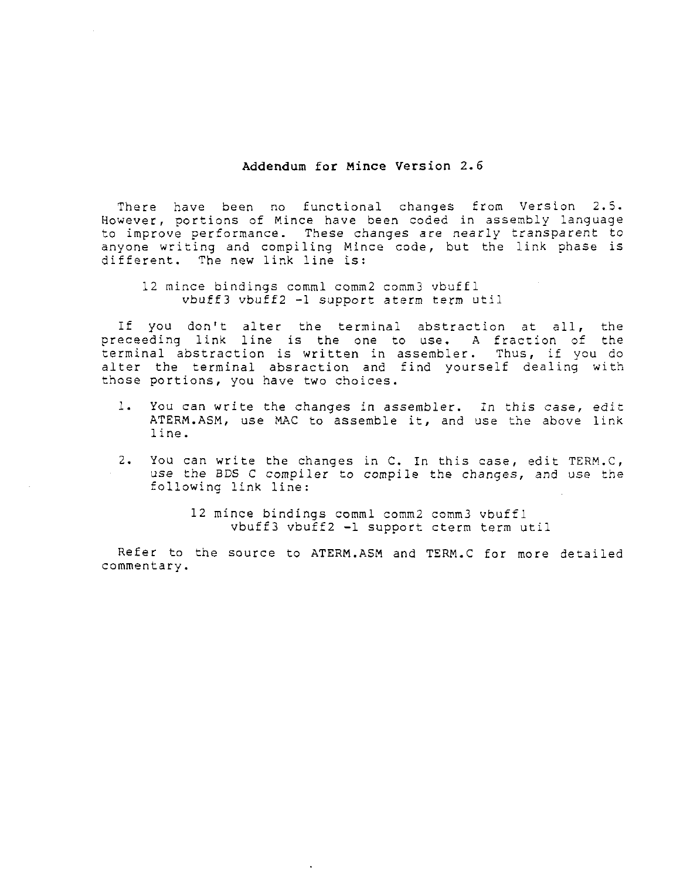## Addendum for Mince Version 2.6

There have been no functional changes from Version 2.5. However, portions of Mince have been coded in assembly language to improve performance. These changes are nearly transparent to anyone writing and compiling Mince code, but the link phase is different. The new link line is:

<sup>12</sup> mince bindings comml comm2 comm3 vbu£fl vbuff3 vbu£f2 -l support aterm term útil

If you don't alter the terminal abstraction at all, the preceeding link line is the one to use. <sup>a</sup> fraction of the terminal abstraction is written in assembler. Thus, if you do alter the terminal absraction and find yourself dealing with those portions, you have two choices.

- l. You can write the changes in assembler. In this case, edit ATERM.ASM, use MAC to assemble it, and use the above link line.
- 2. You can write the changes in  $C$ . In this case, edit  $TERM$ . $C$ , use the BDS <sup>C</sup> compiler to compile the changes, and use the following link line:

<sup>12</sup> mince bindings comml comm2 comm3 vbuffl vbuff3 vbuff2 -1 support cterm term util

Refer to the source to ATERM.ASM and TERM.C for more detailed commentary.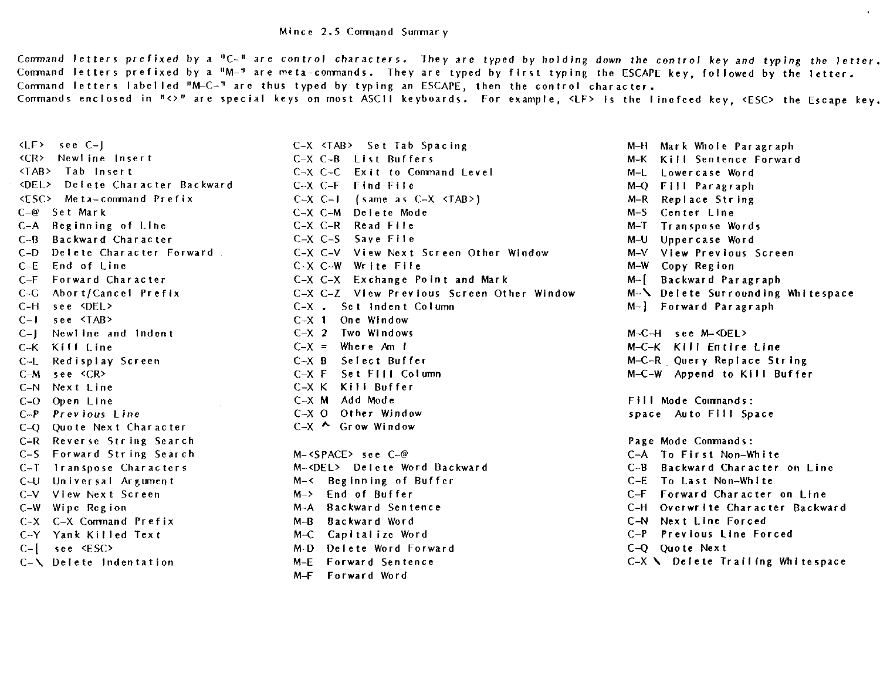Command letters prefixed by a "C-" are control characters. They are typed by holding down the control key and typing the letter.<br>Command letters prefixed by a "M-" are meta-commands. They are typed by first typing the ESCA Command letters labelled "M-C-" are thus typed by typing an ESCAPE, then the control character. Conmands enclosed in  $\pi$ <>" are special keys on most ASC11 keyboards. For example, <LF> is the linefeed key, <ESC> the Escape key.

C-A Beginning of Line C-H see <DEL> C-l see <TAB> C-X <sup>1</sup> One Window C-L Redisplay Screen C-X <sup>B</sup> C-N Next Line C-X K Kill Buf<br>C-O Open Line C-X M Add Mode C-O Quote Next Character C-U Universal Argument M-< Beginning of Buffer<br>C-V View Next Screen M-> End of Buffer C-X C-X Command Prefix M-B Backward Word C-[ see <ESC> M-D Delete Word Forward<br>C-\ Delete Indentation M-E Forward Sentence

<I-F> see C-J C-X <TAB> Set Tab Spacing M-H Mark Whole Paragraph <CR> Newline Insert C-X C-B List Buffers M-K Kill Sentence Forward C-X C-C Exit to Command Level M-L Lowercase Word<br>
C-X C-F Find File M-Q Fill Paragraph <DEL> Delete Character Backward C-X C-F Find File M-Q Fill Paragraph <ESC> Meta-command Prefix C-X C-I (same as C-X <TAB>) M-R Replace String C-@ Set Mark C-X C-M Delete MOde M-S Center Line C-B Backward Character C-X C-S Save File M-U Uppercase Word C-D Delete Character Forward C-X C-V View Next Screen Other Window C-E End of Line C-E End of Line C-X C-W Write File M-W Copy Region C-F Forward Character C-X C-X Exchange Point and Mark M-[ Backward Paragraph C-X C-Z View Previous Screen Other Window C-X. Set Indent Column C-J Newline and Indent C-X <sup>2</sup> Two Windows M-C-H see M-<DEL> C-K Kill Line C-X <sup>=</sup> Where At) <sup>l</sup> M-C-K Kill Entire Line C-X K Kill Buffer C-O Open Line C-X <sup>M</sup> Add Mode Fill Mode Corrrnands: C-P Previous Line C-X <sup>O</sup> Other Window space Auto Fill Space  $C-X$  Grow Window C-R Reverse String Search Page Mode Commands: C-S Forward String Search M-<SPACE> see C-@ C-A To First Non-White C-T Transpose Characters M-<DEL> Delete Word Backward C-B Backward Character on Line M-> End of Buffer C-C-V C-F Forward Character on Line<br>M-A Backward Sentence C-H Overwrite Character Backw C-W Wipe Region M-A Backward Sentence C-H Overwrite Character Backward<br>C-X C-X Command Prefix M-B Backward Word C-Y Yank Killed Text M-C Capitalize Word C-P Previous Line Forced

M-F Forward Word

 $M-\}$  Forward Paragraph M-C-R. Query Replace String M-C-W Append to Kill Buffer  $C-X \ N$  Delete Trailing Whitespace P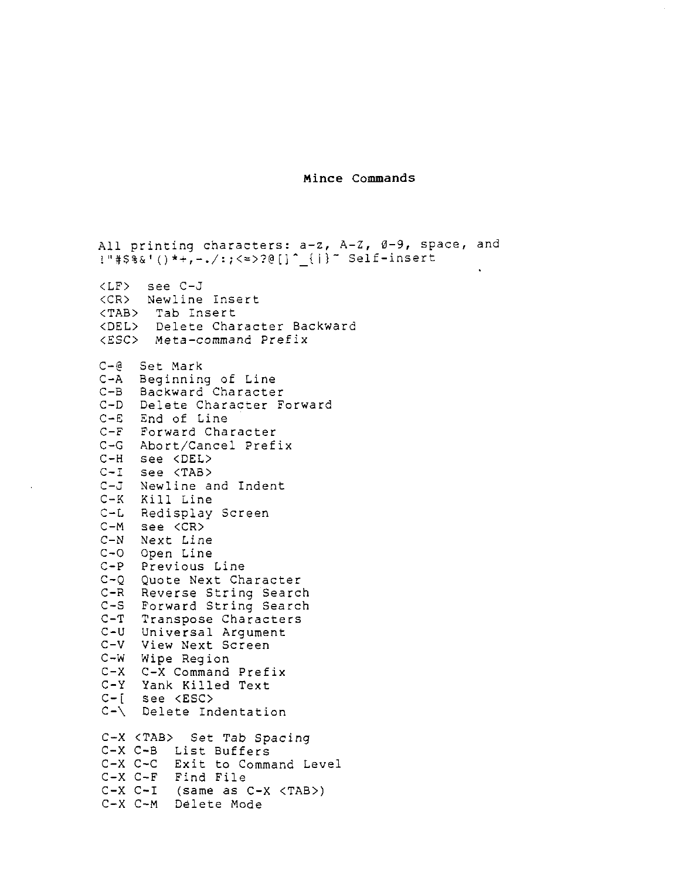Mince Commands

All printing characters: a-z, A-Z, 0-9, space, and !"#\$%K()\*+,-./:;<=>?@[]" {|}" Self-insert 0 <LF> see C-J <CR> Newline Insert <TAB> Tab Insert <DEL> Delete Character Backward <ESC> Meta-command Pre£ix C-@ Set Mark C-A Beginning of Line C-B Backward Character C-D Delete Character Forward C-E End of Line C-F Forward Character C-G Abort/Cancel prefix C-H see <DEL><br>C-I see <TAB> See <TAB> C-J Newline and Indent<br>C-K Kill Line Kill Line C-L Redisplay Screen C-M see <CR> C-N Next Line C-O Open Line C-P Previous Line C-Q Quote Next Character C-R Reverse String Search C-S Forward String Search C-T Transpose Characters C-U Universal Argument C-V View Next Screen C-W Wipe Region C-X C-X Command Prefix C-Y Yank Killed Text C-[ see <ESC><br>C-\ Delete In Delete Indentation C-X <TAB> Set Tab Spacing<br>C-X C-B List Buffers C-X C-B List Buffers C-X C-C Exit to Command Level Find File C-X C-I (same as C-X <TAB>) C-X C-M Delete Mode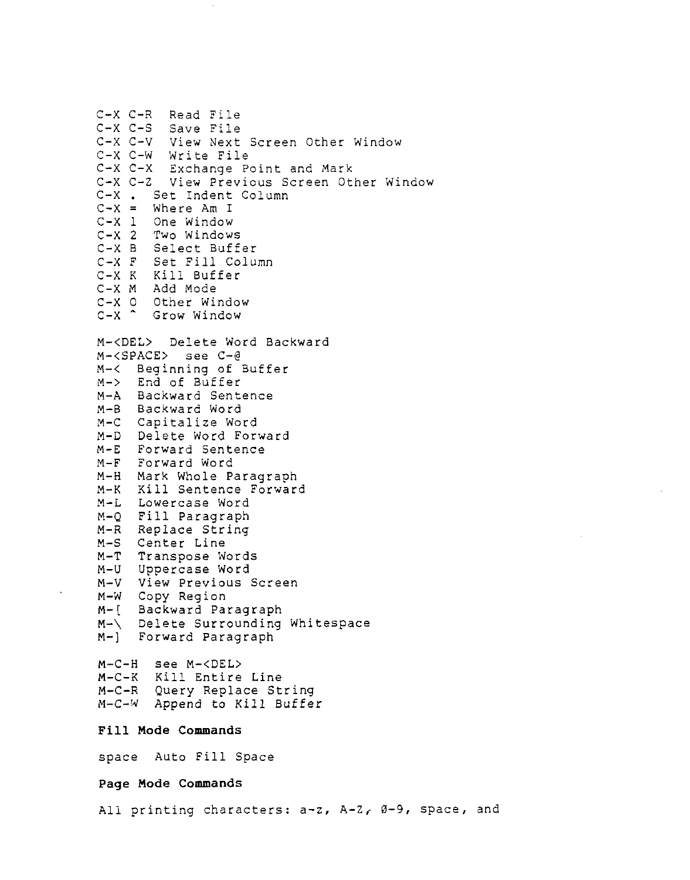C-X C-R Read File C-X C-S Save File View Next Screen Other Window C-X C-W Write File C-X C-X Exchange point and Mark C-X C-Z View Previous Screen Other Window C-X . Set Indent Column  $C-X =$  Where Am I C-X l One Window C-X <sup>2</sup> Two Windows C-X <sup>B</sup> Select Buffer C-X <sup>F</sup> Set Fill Column C-X <sup>K</sup> Kill Buffer C-X <sup>M</sup> Add Mode C-X <sup>O</sup> Other Window C-X " Grow Window M-<D£L> Delete Word Backward M-<SPACE> see C-@ M-< Beginning of Buffer<br>M-> End of Buffer End of Buffer M-A Backward Sentence M-B Backward word M-C Capitalize word M-D Delete word Forward M-E Forward Sentence M-F Forward Word M-H Mark Whole Paragraph M-K Kill Sentence Forward M-L Lowercase Word M-Q Fill Paragraph M-R Replace String<br>M-S Center Line Center Line M-T Transpose words M-U Uppercase Word M-V View Previous Screen M-W Copy Region M-[ Backward Paragraph M-\ Delete Surrounding Whitespace M-] Forward Paragraph M-C-H see M-<DEL> M-C-K Kill Entire Line M-C-R Query Replace String M-C-W Append to Kill Buffer Fill Mode Conmands space Auto Fill Space Page Mode Commands All printing characters: a-z, A-Z, Ø-9, space, and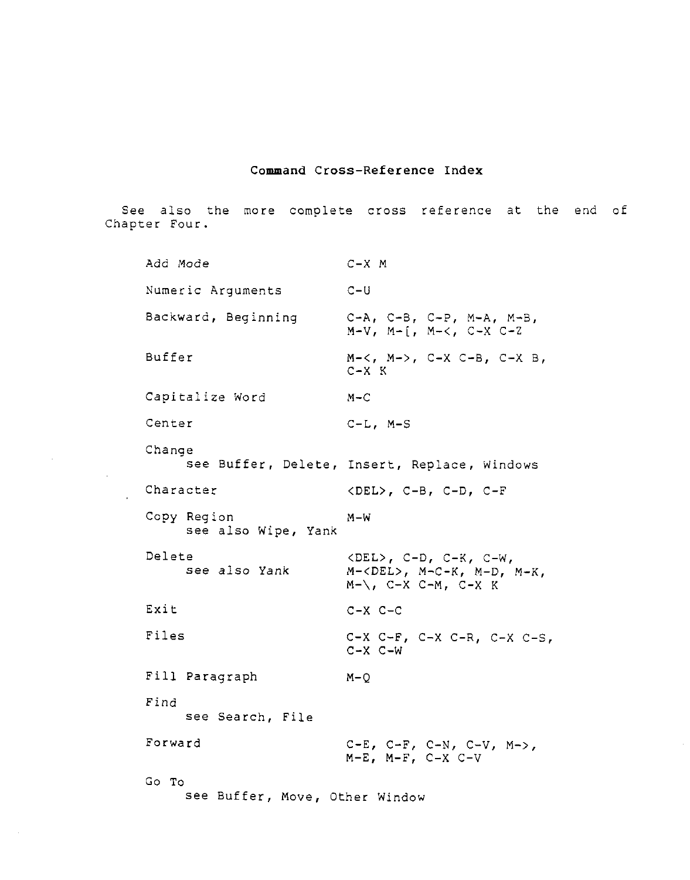## Command Cross-Reference Index

See also the more complete cross reference at the end of Chapter Four.

Add Mode C-X <sup>M</sup> Numeric Arguments C-U Backward, Beginning C-A, C-B, C-P, M-A, M-B,  $M-V$ ,  $M-\lceil$ ,  $M-\lceil$ ,  $C-X-C-Z$ Buffer M-<, M->, C-X C-B, C-X B, C-X <sup>K</sup> Capitalize Nord M-C Center C-L, M-S Change see Buffer, Delete, Insert, Replace, Windows Character <DEL>, C-B, C-D, C-F Copy Region M-W see also Wipe, Yank Delete <DEL>, C-D, C-K, C-W,<br>see also Yank M-<DEL>, M-C-K, M-D.  $M-\langle DEL \rangle$ ,  $M-C-K$ ,  $M-D$ ,  $M-K$ ,  $M-\lambda$ , C-X C-M, C-X K Exit C-X C-C Files C-X C-F, C-X C-R, C-X C-S, C-X C-W Fill Paragraph M-Q Find see search, File Forward C-E, C-F, C-N, C-V, M->,  $M-E$ ,  $M-F$ ,  $C-X$   $C-V$ Go To see Buffer, Move, Other Window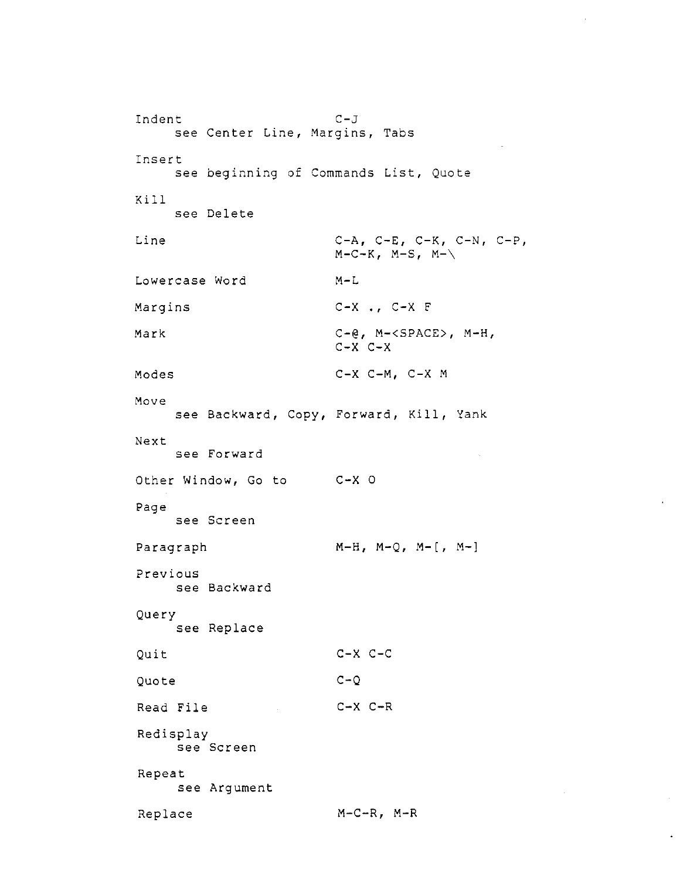```
Indent C-J<br>C-J
    see Center Line, Margins, Tabs
Insert
   see beginning of Commands List, Quote
Kill
   see Delete
Line C-A, C-E, C-K, C-N, C-P,
                   M-C-K, M-S, M-\lambdaLowercase word m-l
Margins
                       .,
C-X F
Mark C-e, M-<SPACE>, M-H,
                   C-X C-XModes C-X C-M, C-X M
Move
   see Backward, Copy, Forward, Kill, Yank
Next
    see Forward
Other Window, Go to C-X O
Page
   see Screen
Paragraph M-H, M-Q, M-[, M-]
Previous
   see Backward
Query
   see Replace
Quit C-X C-C
Quote C-Q
Read File C-X C-R
Redisplay
    see Screen
Repeat
    see Argument
Replace M-C-R, M-R
```
h